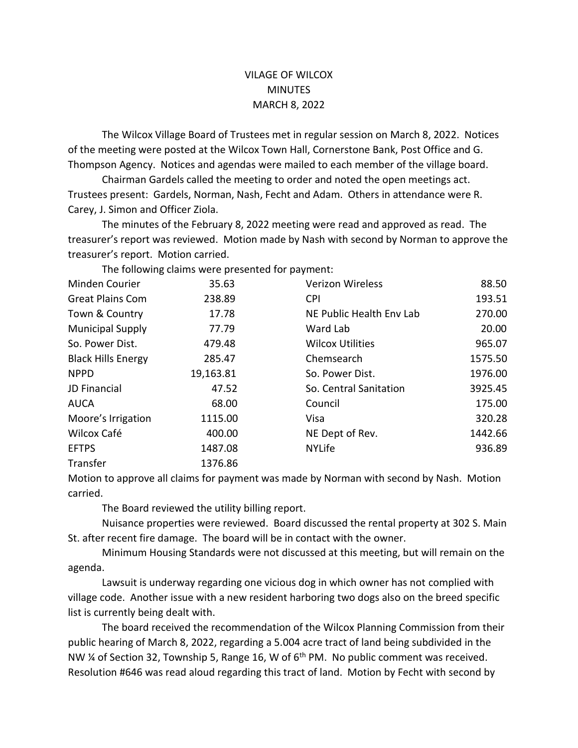## VILAGE OF WILCOX **MINUTES** MARCH 8, 2022

The Wilcox Village Board of Trustees met in regular session on March 8, 2022. Notices of the meeting were posted at the Wilcox Town Hall, Cornerstone Bank, Post Office and G. Thompson Agency. Notices and agendas were mailed to each member of the village board.

Chairman Gardels called the meeting to order and noted the open meetings act. Trustees present: Gardels, Norman, Nash, Fecht and Adam. Others in attendance were R. Carey, J. Simon and Officer Ziola.

The minutes of the February 8, 2022 meeting were read and approved as read. The treasurer's report was reviewed. Motion made by Nash with second by Norman to approve the treasurer's report. Motion carried.

|                           | THE TURNING CRIMING WELL DI ESCHILLA TUI DUVINENTI. |                          |         |
|---------------------------|-----------------------------------------------------|--------------------------|---------|
| Minden Courier            | 35.63                                               | <b>Verizon Wireless</b>  | 88.50   |
| <b>Great Plains Com</b>   | 238.89                                              | <b>CPI</b>               | 193.51  |
| Town & Country            | 17.78                                               | NE Public Health Env Lab | 270.00  |
| <b>Municipal Supply</b>   | 77.79                                               | Ward Lab                 | 20.00   |
| So. Power Dist.           | 479.48                                              | <b>Wilcox Utilities</b>  | 965.07  |
| <b>Black Hills Energy</b> | 285.47                                              | Chemsearch               | 1575.50 |
| <b>NPPD</b>               | 19,163.81                                           | So. Power Dist.          | 1976.00 |
| JD Financial              | 47.52                                               | So. Central Sanitation   | 3925.45 |
| <b>AUCA</b>               | 68.00                                               | Council                  | 175.00  |
| Moore's Irrigation        | 1115.00                                             | Visa                     | 320.28  |
| Wilcox Café               | 400.00                                              | NE Dept of Rev.          | 1442.66 |
| <b>EFTPS</b>              | 1487.08                                             | <b>NYLife</b>            | 936.89  |
| Transfer                  | 1376.86                                             |                          |         |

The following claims were presented for payment:

Motion to approve all claims for payment was made by Norman with second by Nash. Motion carried.

The Board reviewed the utility billing report.

Nuisance properties were reviewed. Board discussed the rental property at 302 S. Main St. after recent fire damage. The board will be in contact with the owner.

Minimum Housing Standards were not discussed at this meeting, but will remain on the agenda.

Lawsuit is underway regarding one vicious dog in which owner has not complied with village code. Another issue with a new resident harboring two dogs also on the breed specific list is currently being dealt with.

The board received the recommendation of the Wilcox Planning Commission from their public hearing of March 8, 2022, regarding a 5.004 acre tract of land being subdivided in the NW  $\frac{1}{4}$  of Section 32, Township 5, Range 16, W of 6<sup>th</sup> PM. No public comment was received. Resolution #646 was read aloud regarding this tract of land. Motion by Fecht with second by